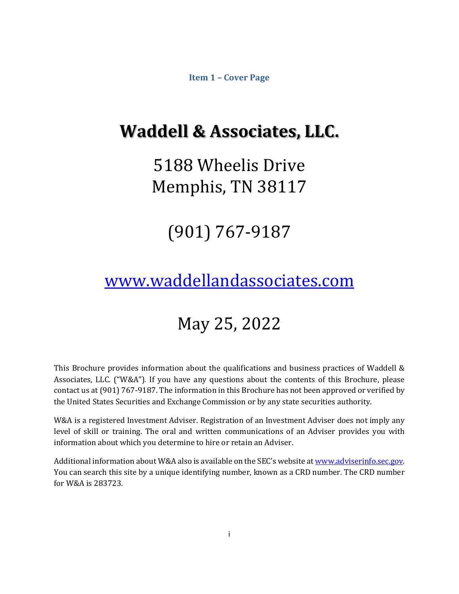**Item 1 – Cover Page**

# <span id="page-0-0"></span>**Waddell & Associates, LLC.**

# 5188 Wheelis Drive Memphis, TN 38117

# (901) 767-9187

# [www.waddellandassociates.com](http://www.waddellandassociates.com/)

# May 25, 2022

This Brochure provides information about the qualifications and business practices of Waddell & Associates, LLC. ("W&A"). If you have any questions about the contents of this Brochure, please contact us at (901) 767-9187. The information in this Brochure has not been approved or verified by the United States Securities and Exchange Commission or by any state securities authority.

W&A is a registered Investment Adviser. Registration of an Investment Adviser does not imply any level of skill or training. The oral and written communications of an Adviser provides you with information about which you determine to hire or retain an Adviser.

Additional information about W&A also is available on the SEC's website a[t www.adviserinfo.sec.gov.](http://www.adviserinfo.sec.gov/) You can search this site by a unique identifying number, known as a CRD number. The CRD number for W&A is 283723.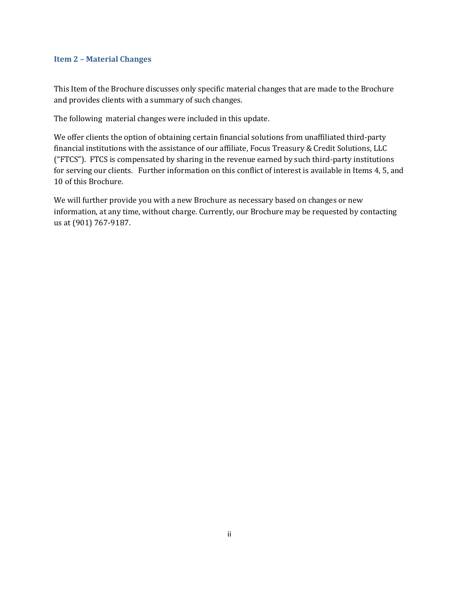#### <span id="page-1-0"></span>**Item 2 – Material Changes**

This Item of the Brochure discusses only specific material changes that are made to the Brochure and provides clients with a summary of such changes.

The following material changes were included in this update.

We offer clients the option of obtaining certain financial solutions from unaffiliated third-party financial institutions with the assistance of our affiliate, Focus Treasury & Credit Solutions, LLC ("FTCS"). FTCS is compensated by sharing in the revenue earned by such third-party institutions for serving our clients. Further information on this conflict of interest is available in Items 4, 5, and 10 of this Brochure.

We will further provide you with a new Brochure as necessary based on changes or new information, at any time, without charge. Currently, our Brochure may be requested by contacting us at (901) 767-9187.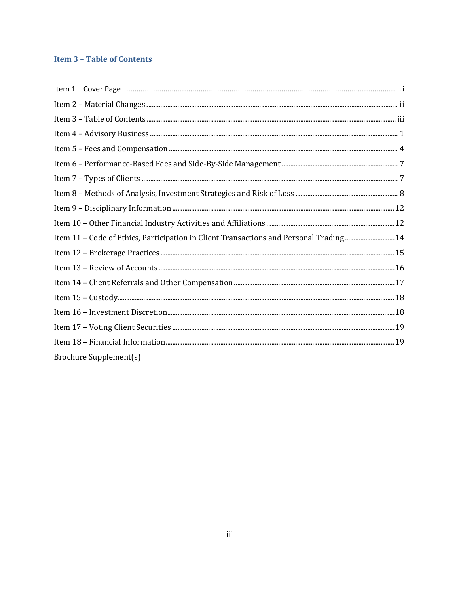# <span id="page-2-0"></span>**Item 3 - Table of Contents**

| 14. Item 11 - Code of Ethics, Participation in Client Transactions and Personal Trading 14 |  |
|--------------------------------------------------------------------------------------------|--|
|                                                                                            |  |
|                                                                                            |  |
|                                                                                            |  |
|                                                                                            |  |
|                                                                                            |  |
|                                                                                            |  |
|                                                                                            |  |
| <b>Brochure Supplement(s)</b>                                                              |  |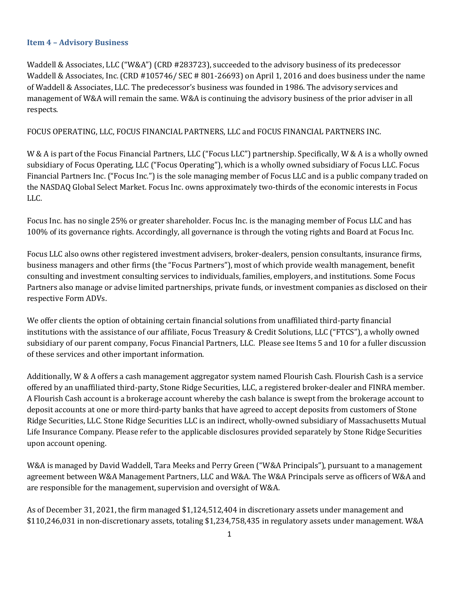### <span id="page-3-0"></span>**Item 4 – Advisory Business**

Waddell & Associates, LLC ("W&A") (CRD #283723), succeeded to the advisory business of its predecessor Waddell & Associates, Inc. (CRD #105746/ SEC # 801-26693) on April 1, 2016 and does business under the name of Waddell & Associates, LLC. The predecessor's business was founded in 1986. The advisory services and management of W&A will remain the same. W&A is continuing the advisory business of the prior adviser in all respects.

### FOCUS OPERATING, LLC, FOCUS FINANCIAL PARTNERS, LLC and FOCUS FINANCIAL PARTNERS INC.

W & A is part of the Focus Financial Partners, LLC ("Focus LLC") partnership. Specifically, W & A is a wholly owned subsidiary of Focus Operating, LLC ("Focus Operating"), which is a wholly owned subsidiary of Focus LLC. Focus Financial Partners Inc. ("Focus Inc.") is the sole managing member of Focus LLC and is a public company traded on the NASDAQ Global Select Market. Focus Inc. owns approximately two-thirds of the economic interests in Focus LLC.

Focus Inc. has no single 25% or greater shareholder. Focus Inc. is the managing member of Focus LLC and has 100% of its governance rights. Accordingly, all governance is through the voting rights and Board at Focus Inc.

Focus LLC also owns other registered investment advisers, broker-dealers, pension consultants, insurance firms, business managers and other firms (the "Focus Partners"), most of which provide wealth management, benefit consulting and investment consulting services to individuals, families, employers, and institutions. Some Focus Partners also manage or advise limited partnerships, private funds, or investment companies as disclosed on their respective Form ADVs.

We offer clients the option of obtaining certain financial solutions from unaffiliated third-party financial institutions with the assistance of our affiliate, Focus Treasury & Credit Solutions, LLC ("FTCS"), a wholly owned subsidiary of our parent company, Focus Financial Partners, LLC. Please see Items 5 and 10 for a fuller discussion of these services and other important information.

Additionally, W & A offers a cash management aggregator system named Flourish Cash. Flourish Cash is a service offered by an unaffiliated third-party, Stone Ridge Securities, LLC, a registered broker-dealer and FINRA member. A Flourish Cash account is a brokerage account whereby the cash balance is swept from the brokerage account to deposit accounts at one or more third-party banks that have agreed to accept deposits from customers of Stone Ridge Securities, LLC. Stone Ridge Securities LLC is an indirect, wholly-owned subsidiary of Massachusetts Mutual Life Insurance Company. Please refer to the applicable disclosures provided separately by Stone Ridge Securities upon account opening.

W&A is managed by David Waddell, Tara Meeks and Perry Green ("W&A Principals"), pursuant to a management agreement between W&A Management Partners, LLC and W&A. The W&A Principals serve as officers of W&A and are responsible for the management, supervision and oversight of W&A.

As of December 31, 2021, the firm managed \$1,124,512,404 in discretionary assets under management and \$110,246,031 in non-discretionary assets, totaling \$1,234,758,435 in regulatory assets under management. W&A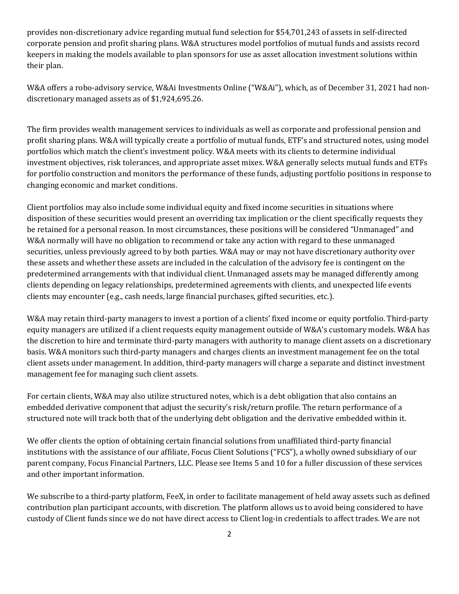provides non-discretionary advice regarding mutual fund selection for \$54,701,243 of assets in self-directed corporate pension and profit sharing plans. W&A structures model portfolios of mutual funds and assists record keepers in making the models available to plan sponsors for use as asset allocation investment solutions within their plan.

W&A offers a robo-advisory service, W&Ai Investments Online ("W&Ai"), which, as of December 31, 2021 had nondiscretionary managed assets as of \$1,924,695.26.

The firm provides wealth management services to individuals as well as corporate and professional pension and profit sharing plans. W&A will typically create a portfolio of mutual funds, ETF's and structured notes, using model portfolios which match the client's investment policy. W&A meets with its clients to determine individual investment objectives, risk tolerances, and appropriate asset mixes. W&A generally selects mutual funds and ETFs for portfolio construction and monitors the performance of these funds, adjusting portfolio positions in response to changing economic and market conditions.

Client portfolios may also include some individual equity and fixed income securities in situations where disposition of these securities would present an overriding tax implication or the client specifically requests they be retained for a personal reason. In most circumstances, these positions will be considered "Unmanaged" and W&A normally will have no obligation to recommend or take any action with regard to these unmanaged securities, unless previously agreed to by both parties. W&A may or may not have discretionary authority over these assets and whether these assets are included in the calculation of the advisory fee is contingent on the predetermined arrangements with that individual client. Unmanaged assets may be managed differently among clients depending on legacy relationships, predetermined agreements with clients, and unexpected life events clients may encounter (e.g., cash needs, large financial purchases, gifted securities, etc.).

W&A may retain third-party managers to invest a portion of a clients' fixed income or equity portfolio. Third-party equity managers are utilized if a client requests equity management outside of W&A's customary models. W&A has the discretion to hire and terminate third-party managers with authority to manage client assets on a discretionary basis. W&A monitors such third-party managers and charges clients an investment management fee on the total client assets under management. In addition, third-party managers will charge a separate and distinct investment management fee for managing such client assets.

For certain clients, W&A may also utilize structured notes, which is a debt obligation that also contains an embedded derivative component that adjust the security's risk/return profile. The return performance of a structured note will track both that of the underlying debt obligation and the derivative embedded within it.

We offer clients the option of obtaining certain financial solutions from unaffiliated third-party financial institutions with the assistance of our affiliate, Focus Client Solutions ("FCS"), a wholly owned subsidiary of our parent company, Focus Financial Partners, LLC. Please see Items 5 and 10 for a fuller discussion of these services and other important information.

We subscribe to a third-party platform, FeeX, in order to facilitate management of held away assets such as defined contribution plan participant accounts, with discretion. The platform allows us to avoid being considered to have custody of Client funds since we do not have direct access to Client log-in credentials to affect trades. We are not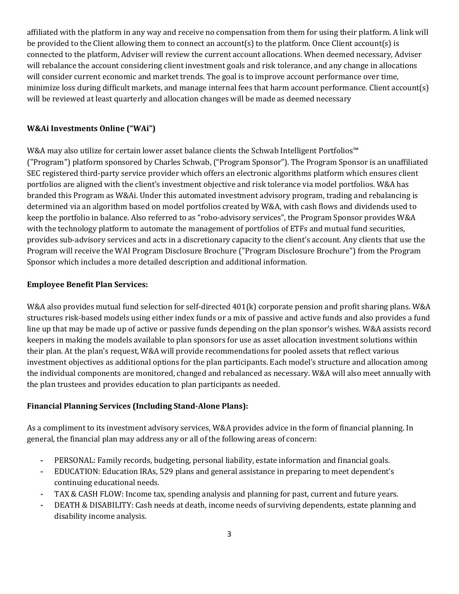affiliated with the platform in any way and receive no compensation from them for using their platform. A link will be provided to the Client allowing them to connect an account(s) to the platform. Once Client account(s) is connected to the platform, Adviser will review the current account allocations. When deemed necessary, Adviser will rebalance the account considering client investment goals and risk tolerance, and any change in allocations will consider current economic and market trends. The goal is to improve account performance over time, minimize loss during difficult markets, and manage internal fees that harm account performance. Client account(s) will be reviewed at least quarterly and allocation changes will be made as deemed necessary

### **W&Ai Investments Online ("WAi")**

W&A may also utilize for certain lower asset balance clients the Schwab Intelligent Portfolios™ ("Program") platform sponsored by Charles Schwab, ("Program Sponsor"). The Program Sponsor is an unaffiliated SEC registered third-party service provider which offers an electronic algorithms platform which ensures client portfolios are aligned with the client's investment objective and risk tolerance via model portfolios. W&A has branded this Program as W&Ai. Under this automated investment advisory program, trading and rebalancing is determined via an algorithm based on model portfolios created by W&A, with cash flows and dividends used to keep the portfolio in balance. Also referred to as "robo-advisory services", the Program Sponsor provides W&A with the technology platform to automate the management of portfolios of ETFs and mutual fund securities, provides sub-advisory services and acts in a discretionary capacity to the client's account. Any clients that use the Program will receive the WAI Program Disclosure Brochure ("Program Disclosure Brochure") from the Program Sponsor which includes a more detailed description and additional information.

### **Employee Benefit Plan Services:**

W&A also provides mutual fund selection for self-directed 401(k) corporate pension and profit sharing plans. W&A structures risk-based models using either index funds or a mix of passive and active funds and also provides a fund line up that may be made up of active or passive funds depending on the plan sponsor's wishes. W&A assists record keepers in making the models available to plan sponsors for use as asset allocation investment solutions within their plan. At the plan's request, W&A will provide recommendations for pooled assets that reflect various investment objectives as additional options for the plan participants. Each model's structure and allocation among the individual components are monitored, changed and rebalanced as necessary. W&A will also meet annually with the plan trustees and provides education to plan participants as needed.

# **Financial Planning Services (Including Stand-Alone Plans):**

As a compliment to its investment advisory services, W&A provides advice in the form of financial planning. In general, the financial plan may address any or all of the following areas of concern:

- PERSONAL: Family records, budgeting, personal liability, estate information and financial goals.
- EDUCATION: Education IRAs, 529 plans and general assistance in preparing to meet dependent's continuing educational needs.
- TAX & CASH FLOW: Income tax, spending analysis and planning for past, current and future years.
- DEATH & DISABILITY: Cash needs at death, income needs of surviving dependents, estate planning and disability income analysis.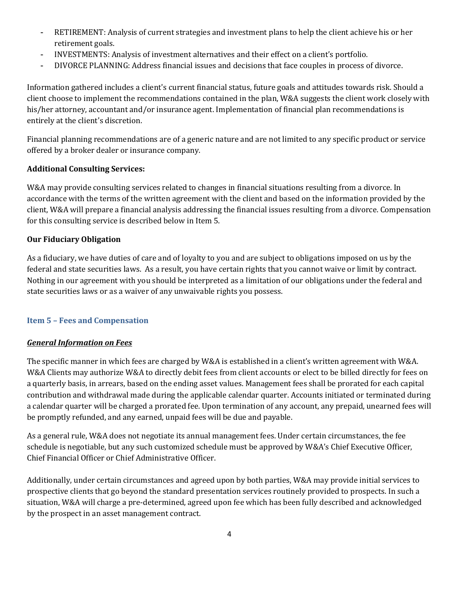- RETIREMENT: Analysis of current strategies and investment plans to help the client achieve his or her retirement goals.
- INVESTMENTS: Analysis of investment alternatives and their effect on a client's portfolio.
- DIVORCE PLANNING: Address financial issues and decisions that face couples in process of divorce.

Information gathered includes a client's current financial status, future goals and attitudes towards risk. Should a client choose to implement the recommendations contained in the plan, W&A suggests the client work closely with his/her attorney, accountant and/or insurance agent. Implementation of financial plan recommendations is entirely at the client's discretion.

Financial planning recommendations are of a generic nature and are not limited to any specific product or service offered by a broker dealer or insurance company.

# **Additional Consulting Services:**

W&A may provide consulting services related to changes in financial situations resulting from a divorce. In accordance with the terms of the written agreement with the client and based on the information provided by the client, W&A will prepare a financial analysis addressing the financial issues resulting from a divorce. Compensation for this consulting service is described below in Item 5.

# **Our Fiduciary Obligation**

As a fiduciary, we have duties of care and of loyalty to you and are subject to obligations imposed on us by the federal and state securities laws. As a result, you have certain rights that you cannot waive or limit by contract. Nothing in our agreement with you should be interpreted as a limitation of our obligations under the federal and state securities laws or as a waiver of any unwaivable rights you possess.

# <span id="page-6-0"></span>**Item 5 – Fees and Compensation**

# *General Information on Fees*

The specific manner in which fees are charged by W&A is established in a client's written agreement with W&A. W&A Clients may authorize W&A to directly debit fees from client accounts or elect to be billed directly for fees on a quarterly basis, in arrears, based on the ending asset values. Management fees shall be prorated for each capital contribution and withdrawal made during the applicable calendar quarter. Accounts initiated or terminated during a calendar quarter will be charged a prorated fee. Upon termination of any account, any prepaid, unearned fees will be promptly refunded, and any earned, unpaid fees will be due and payable.

As a general rule, W&A does not negotiate its annual management fees. Under certain circumstances, the fee schedule is negotiable, but any such customized schedule must be approved by W&A's Chief Executive Officer, Chief Financial Officer or Chief Administrative Officer.

Additionally, under certain circumstances and agreed upon by both parties, W&A may provide initial services to prospective clients that go beyond the standard presentation services routinely provided to prospects. In such a situation, W&A will charge a pre-determined, agreed upon fee which has been fully described and acknowledged by the prospect in an asset management contract.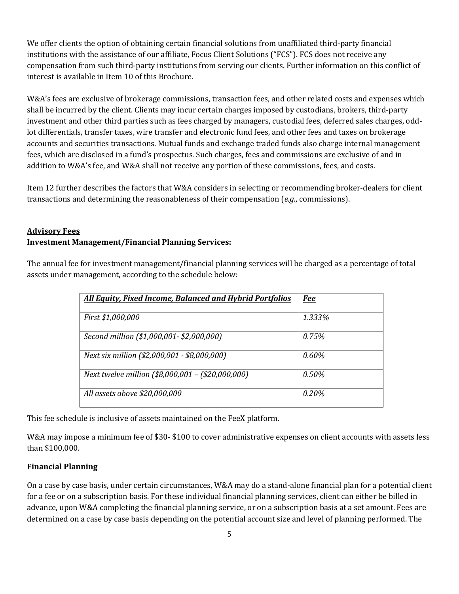We offer clients the option of obtaining certain financial solutions from unaffiliated third-party financial institutions with the assistance of our affiliate, Focus Client Solutions ("FCS"). FCS does not receive any compensation from such third-party institutions from serving our clients. Further information on this conflict of interest is available in Item 10 of this Brochure.

W&A's fees are exclusive of brokerage commissions, transaction fees, and other related costs and expenses which shall be incurred by the client. Clients may incur certain charges imposed by custodians, brokers, third-party investment and other third parties such as fees charged by managers, custodial fees, deferred sales charges, oddlot differentials, transfer taxes, wire transfer and electronic fund fees, and other fees and taxes on brokerage accounts and securities transactions. Mutual funds and exchange traded funds also charge internal management fees, which are disclosed in a fund's prospectus. Such charges, fees and commissions are exclusive of and in addition to W&A's fee, and W&A shall not receive any portion of these commissions, fees, and costs.

Item 12 further describes the factors that W&A considers in selecting or recommending broker-dealers for client transactions and determining the reasonableness of their compensation (*e.g.*, commissions).

# **Advisory Fees Investment Management/Financial Planning Services:**

The annual fee for investment management/financial planning services will be charged as a percentage of total assets under management, according to the schedule below:

| <b>All Equity, Fixed Income, Balanced and Hybrid Portfolios</b> | <u>Fee</u> |
|-----------------------------------------------------------------|------------|
| First \$1,000,000                                               | 1.333%     |
| Second million (\$1,000,001 - \$2,000,000)                      | 0.75%      |
| Next six million (\$2,000,001 - \$8,000,000)                    | 0.60%      |
| Next twelve million (\$8,000,001 - (\$20,000,000)               | 0.50%      |
| All assets above \$20,000,000                                   | 0.20%      |

This fee schedule is inclusive of assets maintained on the FeeX platform.

W&A may impose a minimum fee of \$30- \$100 to cover administrative expenses on client accounts with assets less than \$100,000.

# **Financial Planning**

On a case by case basis, under certain circumstances, W&A may do a stand-alone financial plan for a potential client for a fee or on a subscription basis. For these individual financial planning services, client can either be billed in advance, upon W&A completing the financial planning service, or on a subscription basis at a set amount. Fees are determined on a case by case basis depending on the potential account size and level of planning performed. The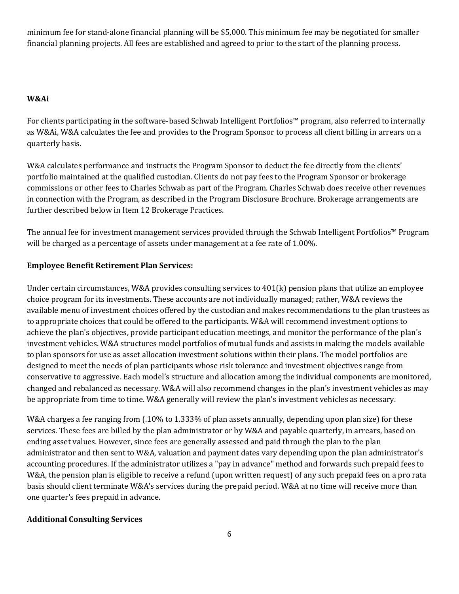minimum fee for stand-alone financial planning will be \$5,000. This minimum fee may be negotiated for smaller financial planning projects. All fees are established and agreed to prior to the start of the planning process.

# **W&Ai**

For clients participating in the software-based Schwab Intelligent Portfolios™ program, also referred to internally as W&Ai, W&A calculates the fee and provides to the Program Sponsor to process all client billing in arrears on a quarterly basis.

W&A calculates performance and instructs the Program Sponsor to deduct the fee directly from the clients' portfolio maintained at the qualified custodian. Clients do not pay fees to the Program Sponsor or brokerage commissions or other fees to Charles Schwab as part of the Program. Charles Schwab does receive other revenues in connection with the Program, as described in the Program Disclosure Brochure. Brokerage arrangements are further described below in Item 12 Brokerage Practices.

The annual fee for investment management services provided through the Schwab Intelligent Portfolios™ Program will be charged as a percentage of assets under management at a fee rate of 1.00%.

# **Employee Benefit Retirement Plan Services:**

Under certain circumstances, W&A provides consulting services to 401(k) pension plans that utilize an employee choice program for its investments. These accounts are not individually managed; rather, W&A reviews the available menu of investment choices offered by the custodian and makes recommendations to the plan trustees as to appropriate choices that could be offered to the participants. W&A will recommend investment options to achieve the plan's objectives, provide participant education meetings, and monitor the performance of the plan's investment vehicles. W&A structures model portfolios of mutual funds and assists in making the models available to plan sponsors for use as asset allocation investment solutions within their plans. The model portfolios are designed to meet the needs of plan participants whose risk tolerance and investment objectives range from conservative to aggressive. Each model's structure and allocation among the individual components are monitored, changed and rebalanced as necessary. W&A will also recommend changes in the plan's investment vehicles as may be appropriate from time to time. W&A generally will review the plan's investment vehicles as necessary.

W&A charges a fee ranging from (.10% to 1.333% of plan assets annually, depending upon plan size) for these services. These fees are billed by the plan administrator or by W&A and payable quarterly, in arrears, based on ending asset values. However, since fees are generally assessed and paid through the plan to the plan administrator and then sent to W&A, valuation and payment dates vary depending upon the plan administrator's accounting procedures. If the administrator utilizes a "pay in advance" method and forwards such prepaid fees to W&A, the pension plan is eligible to receive a refund (upon written request) of any such prepaid fees on a pro rata basis should client terminate W&A's services during the prepaid period. W&A at no time will receive more than one quarter's fees prepaid in advance.

# **Additional Consulting Services**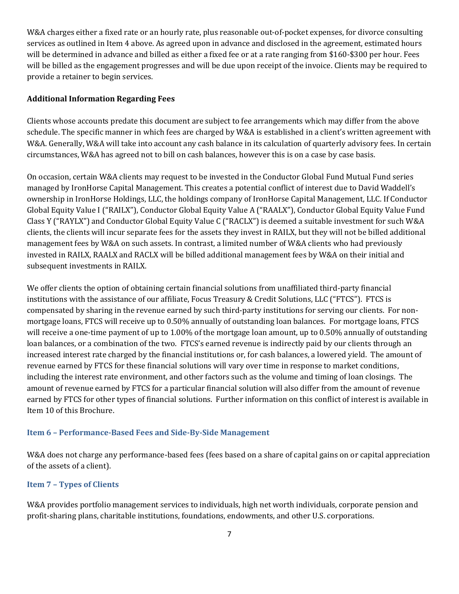W&A charges either a fixed rate or an hourly rate, plus reasonable out-of-pocket expenses, for divorce consulting services as outlined in Item 4 above. As agreed upon in advance and disclosed in the agreement, estimated hours will be determined in advance and billed as either a fixed fee or at a rate ranging from \$160-\$300 per hour. Fees will be billed as the engagement progresses and will be due upon receipt of the invoice. Clients may be required to provide a retainer to begin services.

### **Additional Information Regarding Fees**

Clients whose accounts predate this document are subject to fee arrangements which may differ from the above schedule. The specific manner in which fees are charged by W&A is established in a client's written agreement with W&A. Generally, W&A will take into account any cash balance in its calculation of quarterly advisory fees. In certain circumstances, W&A has agreed not to bill on cash balances, however this is on a case by case basis.

On occasion, certain W&A clients may request to be invested in the Conductor Global Fund Mutual Fund series managed by IronHorse Capital Management. This creates a potential conflict of interest due to David Waddell's ownership in IronHorse Holdings, LLC, the holdings company of IronHorse Capital Management, LLC. If Conductor Global Equity Value I ("RAILX"), Conductor Global Equity Value A ("RAALX"), Conductor Global Equity Value Fund Class Y ("RAYLX") and Conductor Global Equity Value C ("RACLX") is deemed a suitable investment for such W&A clients, the clients will incur separate fees for the assets they invest in RAILX, but they will not be billed additional management fees by W&A on such assets. In contrast, a limited number of W&A clients who had previously invested in RAILX, RAALX and RACLX will be billed additional management fees by W&A on their initial and subsequent investments in RAILX.

We offer clients the option of obtaining certain financial solutions from unaffiliated third-party financial institutions with the assistance of our affiliate, Focus Treasury & Credit Solutions, LLC ("FTCS"). FTCS is compensated by sharing in the revenue earned by such third-party institutions for serving our clients. For nonmortgage loans, FTCS will receive up to 0.50% annually of outstanding loan balances. For mortgage loans, FTCS will receive a one-time payment of up to 1.00% of the mortgage loan amount, up to 0.50% annually of outstanding loan balances, or a combination of the two. FTCS's earned revenue is indirectly paid by our clients through an increased interest rate charged by the financial institutions or, for cash balances, a lowered yield. The amount of revenue earned by FTCS for these financial solutions will vary over time in response to market conditions, including the interest rate environment, and other factors such as the volume and timing of loan closings. The amount of revenue earned by FTCS for a particular financial solution will also differ from the amount of revenue earned by FTCS for other types of financial solutions. Further information on this conflict of interest is available in Item 10 of this Brochure.

#### <span id="page-9-0"></span>**Item 6 – Performance-Based Fees and Side-By-Side Management**

W&A does not charge any performance-based fees (fees based on a share of capital gains on or capital appreciation of the assets of a client).

# <span id="page-9-1"></span>**Item 7 – Types of Clients**

W&A provides portfolio management services to individuals, high net worth individuals, corporate pension and profit-sharing plans, charitable institutions, foundations, endowments, and other U.S. corporations.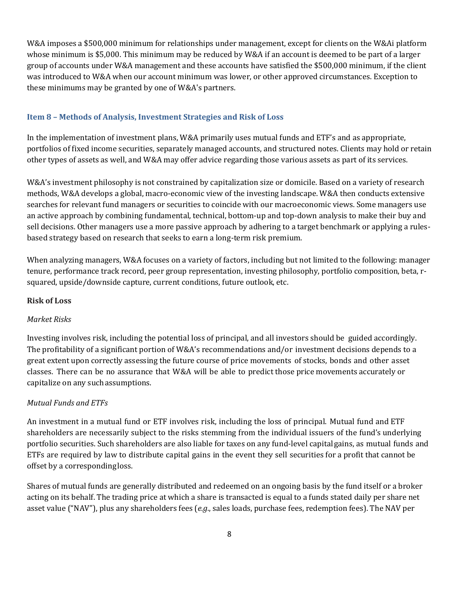W&A imposes a \$500,000 minimum for relationships under management, except for clients on the W&Ai platform whose minimum is \$5,000. This minimum may be reduced by W&A if an account is deemed to be part of a larger group of accounts under W&A management and these accounts have satisfied the \$500,000 minimum, if the client was introduced to W&A when our account minimum was lower, or other approved circumstances. Exception to these minimums may be granted by one of W&A's partners.

#### <span id="page-10-0"></span>**Item 8 – Methods of Analysis, Investment Strategies and Risk of Loss**

In the implementation of investment plans, W&A primarily uses mutual funds and ETF's and as appropriate, portfolios of fixed income securities, separately managed accounts, and structured notes. Clients may hold or retain other types of assets as well, and W&A may offer advice regarding those various assets as part of its services.

W&A's investment philosophy is not constrained by capitalization size or domicile. Based on a variety of research methods, W&A develops a global, macro-economic view of the investing landscape. W&A then conducts extensive searches for relevant fund managers or securities to coincide with our macroeconomic views. Some managers use an active approach by combining fundamental, technical, bottom-up and top-down analysis to make their buy and sell decisions. Other managers use a more passive approach by adhering to a target benchmark or applying a rulesbased strategy based on research that seeks to earn a long-term risk premium.

When analyzing managers, W&A focuses on a variety of factors, including but not limited to the following: manager tenure, performance track record, peer group representation, investing philosophy, portfolio composition, beta, rsquared, upside/downside capture, current conditions, future outlook, etc.

### **Risk of Loss**

#### *Market Risks*

Investing involves risk, including the potential loss of principal, and all investors should be guided accordingly. The profitability of a significant portion of W&A's recommendations and/or investment decisions depends to a great extent upon correctly assessing the future course of price movements of stocks, bonds and other asset classes. There can be no assurance that W&A will be able to predict those price movements accurately or capitalize on any suchassumptions.

#### *Mutual Funds and ETFs*

An investment in a mutual fund or ETF involves risk, including the loss of principal. Mutual fund and ETF shareholders are necessarily subject to the risks stemming from the individual issuers of the fund's underlying portfolio securities. Such shareholders are also liable for taxes on any fund-level capitalgains, as mutual funds and ETFs are required by law to distribute capital gains in the event they sell securities for a profit that cannot be offset by a correspondingloss.

Shares of mutual funds are generally distributed and redeemed on an ongoing basis by the fund itself or a broker acting on its behalf. The trading price at which a share is transacted is equal to a funds stated daily per share net asset value ("NAV"), plus any shareholders fees (*e.g*., sales loads, purchase fees, redemption fees). The NAV per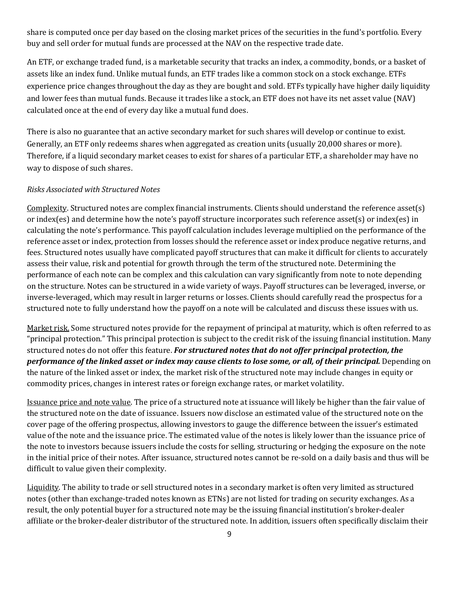share is computed once per day based on the closing [market prices](http://www.investopedia.com/terms/m/market-price.asp) of the securities in the fund's portfolio. Every buy and sell order fo[r mutual funds](http://www.investopedia.com/video/play/introduction-mutual-funds/) are processed at the NAV on the respective trade date.

An ETF, or exchange traded fund, is a [marketable security](http://www.investopedia.com/terms/m/marketablesecurities.asp) that tracks an index, [a commodity,](http://www.investopedia.com/terms/c/commodity.asp) [bonds,](http://www.investopedia.com/terms/b/bond.asp) or a basket of assets like a[n index fund.](http://www.investopedia.com/terms/i/indexfund.asp) Unlike [mutual funds,](http://www.investopedia.com/terms/m/mutualfund.asp) an ETF trades like a [common stock](http://www.investopedia.com/terms/c/commonstock.asp) on a stock exchange. ETFs experience price changes throughout the day as they are bought and sold. ETFs typically have higher dail[y liquidity](http://www.investopedia.com/terms/l/liquidity.asp) and lower fees than mutual funds. Because it trades like a stock, an ETF does not have its [net asset value](http://www.investopedia.com/terms/n/nav.asp) (NAV) calculated once at the end of every day like a mutual fund does.

There is also no guarantee that an active secondary market for such shares will develop or continue to exist. Generally, an ETF only redeems shares when aggregated as creation units (usually 20,000 shares or more). Therefore, if a liquid secondary market ceases to exist for shares of a particular ETF, a shareholder may have no way to dispose of such shares.

#### *Risks Associated with Structured Notes*

Complexity. Structured notes are complex financial instruments. Clients should understand the reference asset(s) or index(es) and determine how the note's payoff structure incorporates such reference asset(s) or index(es) in calculating the note's performance. This payoff calculation includes leverage multiplied on the performance of the reference asset or index, protection from losses should the reference asset or index produce negative returns, and fees. Structured notes usually have complicated payoff structures that can make it difficult for clients to accurately assess their value, risk and potential for growth through the term of the structured note. Determining the performance of each note can be complex and this calculation can vary significantly from note to note depending on the structure. Notes can be structured in a wide variety of ways. Payoff structures can be leveraged, inverse, or inverse-leveraged, which may result in larger returns or losses. Clients should carefully read the prospectus for a structured note to fully understand how the payoff on a note will be calculated and discuss these issues with us.

Market risk. Some structured notes provide for the repayment of principal at maturity, which is often referred to as "principal protection." This principal protection is subject to the credit risk of the issuing financial institution. Many structured notes do not offer this feature. *For structured notes that do not offer principal protection, the performance of the linked asset or index may cause clients to lose some, or all, of their principal.* Depending on the nature of the linked asset or index, the market risk of the structured note may include changes in equity or commodity prices, changes in interest rates or foreign exchange rates, or market volatility.

Issuance price and note value. The price of a structured note at issuance will likely be higher than the fair value of the structured note on the date of issuance. Issuers now disclose an estimated value of the structured note on the cover page of the offering prospectus, allowing investors to gauge the difference between the issuer's estimated value of the note and the issuance price. The estimated value of the notes is likely lower than the issuance price of the note to investors because issuers include the costs for selling, structuring or hedging the exposure on the note in the initial price of their notes. After issuance, structured notes cannot be re-sold on a daily basis and thus will be difficult to value given their complexity.

Liquidity. The ability to trade or sell structured notes in a secondary market is often very limited as structured notes (other than exchange-traded notes known as ETNs) are not listed for trading on security exchanges. As a result, the only potential buyer for a structured note may be the issuing financial institution's broker-dealer affiliate or the broker-dealer distributor of the structured note. In addition, issuers often specifically disclaim their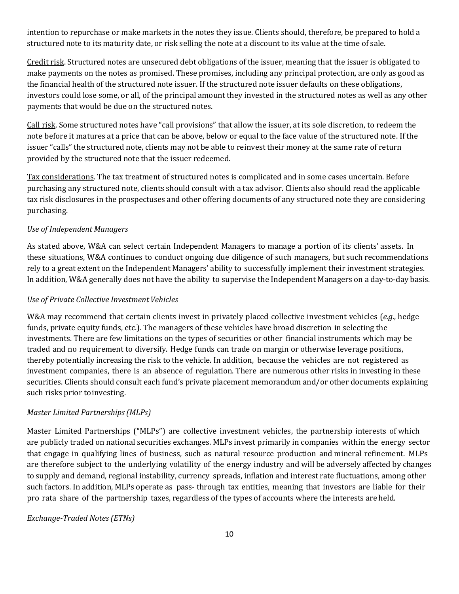intention to repurchase or make markets in the notes they issue. Clients should, therefore, be prepared to hold a structured note to its maturity date, or risk selling the note at a discount to its value at the time of sale.

Credit risk. Structured notes are unsecured debt obligations of the issuer, meaning that the issuer is obligated to make payments on the notes as promised. These promises, including any principal protection, are only as good as the financial health of the structured note issuer. If the structured note issuer defaults on these obligations, investors could lose some, or all, of the principal amount they invested in the structured notes as well as any other payments that would be due on the structured notes.

Call risk. Some structured notes have "call provisions" that allow the issuer, at its sole discretion, to redeem the note before it matures at a price that can be above, below or equal to the face value of the structured note. If the issuer "calls" the structured note, clients may not be able to reinvest their money at the same rate of return provided by the structured note that the issuer redeemed.

Tax considerations. The tax treatment of structured notes is complicated and in some cases uncertain. Before purchasing any structured note, clients should consult with a tax advisor. Clients also should read the applicable tax risk disclosures in the prospectuses and other offering documents of any structured note they are considering purchasing.

#### *Use of Independent Managers*

As stated above, W&A can select certain Independent Managers to manage a portion of its clients' assets. In these situations, W&A continues to conduct ongoing due diligence of such managers, but such recommendations rely to a great extent on the Independent Managers' ability to successfully implement their investment strategies. In addition, W&A generally does not have the ability to supervise the Independent Managers on a day-to-day basis.

#### *Use of Private Collective Investment Vehicles*

W&A may recommend that certain clients invest in privately placed collective investment vehicles (*e.g*., hedge funds, private equity funds, etc.). The managers of these vehicles have broad discretion in selecting the investments. There are few limitations on the types of securities or other financial instruments which may be traded and no requirement to diversify. Hedge funds can trade on margin or otherwise leverage positions, thereby potentially increasing the risk to the vehicle. In addition, because the vehicles are not registered as investment companies, there is an absence of regulation. There are numerous other risks in investing in these securities. Clients should consult each fund's private placement memorandum and/or other documents explaining such risks prior to investing.

#### *Master Limited Partnerships(MLPs)*

Master Limited Partnerships ("MLPs") are collective investment vehicles, the partnership interests of which are publicly traded on national securities exchanges. MLPs invest primarily in companies within the energy sector that engage in qualifying lines of business, such as natural resource production and mineral refinement. MLPs are therefore subject to the underlying volatility of the energy industry and will be adversely affected by changes to supply and demand, regional instability, currency spreads, inflation and interest rate fluctuations, among other such factors. In addition, MLPs operate as pass- through tax entities, meaning that investors are liable for their pro rata share of the partnership taxes, regardless of the types of accounts where the interests are held.

#### *Exchange-Traded Notes(ETNs)*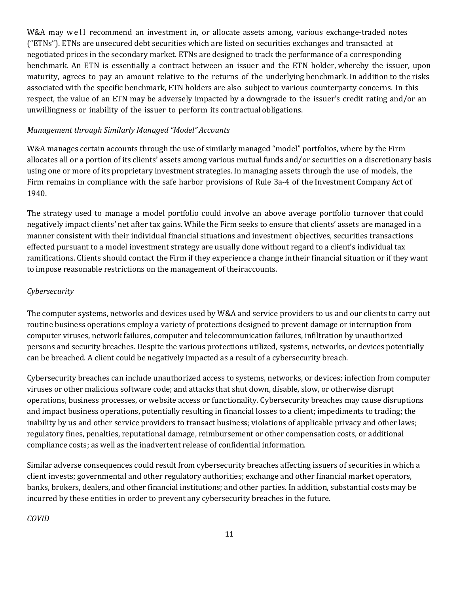W&A may well recommend an investment in, or allocate assets among, various exchange-traded notes ("ETNs"). ETNs are unsecured debt securities which are listed on securities exchanges and transacted at negotiated prices in the secondary market. ETNs are designed to track the performance of a corresponding benchmark. An ETN is essentially a contract between an issuer and the ETN holder, whereby the issuer, upon maturity, agrees to pay an amount relative to the returns of the underlying benchmark. In addition to the risks associated with the specific benchmark, ETN holders are also subject to various counterparty concerns. In this respect, the value of an ETN may be adversely impacted by a downgrade to the issuer's credit rating and/or an unwillingness or inability of the issuer to perform its contractual obligations.

#### *Management through Similarly Managed "Model" Accounts*

W&A manages certain accounts through the use of similarly managed "model" portfolios, where by the Firm allocates all or a portion of its clients' assets among various mutual funds and/or securities on a discretionary basis using one or more of its proprietary investment strategies. In managing assets through the use of models, the Firm remains in compliance with the safe harbor provisions of Rule 3a-4 of the Investment Company Act of 1940.

The strategy used to manage a model portfolio could involve an above average portfolio turnover that could negatively impact clients' net after tax gains. While the Firm seeks to ensure that clients' assets are managed in a manner consistent with their individual financial situations and investment objectives, securities transactions effected pursuant to a model investment strategy are usually done without regard to a client's individual tax ramifications. Clients should contact the Firm if they experience a change intheir financial situation or if they want to impose reasonable restrictions on the management of theiraccounts.

#### *Cybersecurity*

The computer systems, networks and devices used by W&A and service providers to us and our clients to carry out routine business operations employ a variety of protections designed to prevent damage or interruption from computer viruses, network failures, computer and telecommunication failures, infiltration by unauthorized persons and security breaches. Despite the various protections utilized, systems, networks, or devices potentially can be breached. A client could be negatively impacted as a result of a cybersecurity breach.

Cybersecurity breaches can include unauthorized access to systems, networks, or devices; infection from computer viruses or other malicious software code; and attacks that shut down, disable, slow, or otherwise disrupt operations, business processes, or website access or functionality. Cybersecurity breaches may cause disruptions and impact business operations, potentially resulting in financial losses to a client; impediments to trading; the inability by us and other service providers to transact business; violations of applicable privacy and other laws; regulatory fines, penalties, reputational damage, reimbursement or other compensation costs, or additional compliance costs; as well as the inadvertent release of confidential information.

Similar adverse consequences could result from cybersecurity breaches affecting issuers of securities in which a client invests; governmental and other regulatory authorities; exchange and other financial market operators, banks, brokers, dealers, and other financial institutions; and other parties. In addition, substantial costs may be incurred by these entities in order to prevent any cybersecurity breaches in the future.

*COVID*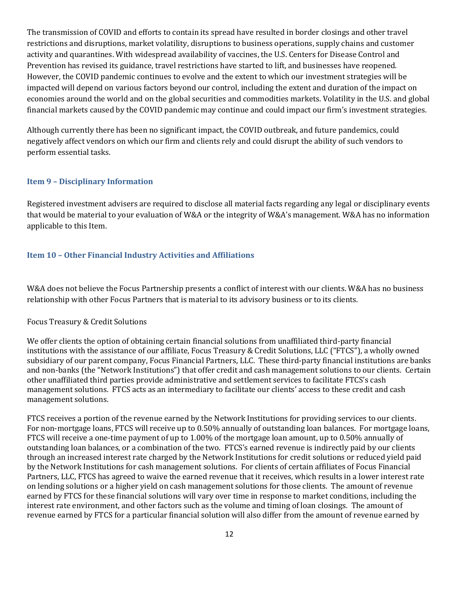The transmission of COVID and efforts to contain its spread have resulted in border closings and other travel restrictions and disruptions, market volatility, disruptions to business operations, supply chains and customer activity and quarantines. With widespread availability of vaccines, the U.S. Centers for Disease Control and Prevention has revised its guidance, travel restrictions have started to lift, and businesses have reopened. However, the COVID pandemic continues to evolve and the extent to which our investment strategies will be impacted will depend on various factors beyond our control, including the extent and duration of the impact on economies around the world and on the global securities and commodities markets. Volatility in the U.S. and global financial markets caused by the COVID pandemic may continue and could impact our firm's investment strategies.

Although currently there has been no significant impact, the COVID outbreak, and future pandemics, could negatively affect vendors on which our firm and clients rely and could disrupt the ability of such vendors to perform essential tasks.

#### <span id="page-14-0"></span>**Item 9 – Disciplinary Information**

Registered investment advisers are required to disclose all material facts regarding any legal or disciplinary events that would be material to your evaluation of W&A or the integrity of W&A's management. W&A has no information applicable to this Item.

#### <span id="page-14-1"></span>**Item 10 – Other Financial Industry Activities and Affiliations**

W&A does not believe the Focus Partnership presents a conflict of interest with our clients. W&A has no business relationship with other Focus Partners that is material to its advisory business or to its clients.

#### Focus Treasury & Credit Solutions

We offer clients the option of obtaining certain financial solutions from unaffiliated third-party financial institutions with the assistance of our affiliate, Focus Treasury & Credit Solutions, LLC ("FTCS"), a wholly owned subsidiary of our parent company, Focus Financial Partners, LLC. These third-party financial institutions are banks and non-banks (the "Network Institutions") that offer credit and cash management solutions to our clients. Certain other unaffiliated third parties provide administrative and settlement services to facilitate FTCS's cash management solutions. FTCS acts as an intermediary to facilitate our clients' access to these credit and cash management solutions.

FTCS receives a portion of the revenue earned by the Network Institutions for providing services to our clients. For non-mortgage loans, FTCS will receive up to 0.50% annually of outstanding loan balances. For mortgage loans, FTCS will receive a one-time payment of up to 1.00% of the mortgage loan amount, up to 0.50% annually of outstanding loan balances, or a combination of the two. FTCS's earned revenue is indirectly paid by our clients through an increased interest rate charged by the Network Institutions for credit solutions or reduced yield paid by the Network Institutions for cash management solutions. For clients of certain affiliates of Focus Financial Partners, LLC, FTCS has agreed to waive the earned revenue that it receives, which results in a lower interest rate on lending solutions or a higher yield on cash management solutions for those clients. The amount of revenue earned by FTCS for these financial solutions will vary over time in response to market conditions, including the interest rate environment, and other factors such as the volume and timing of loan closings. The amount of revenue earned by FTCS for a particular financial solution will also differ from the amount of revenue earned by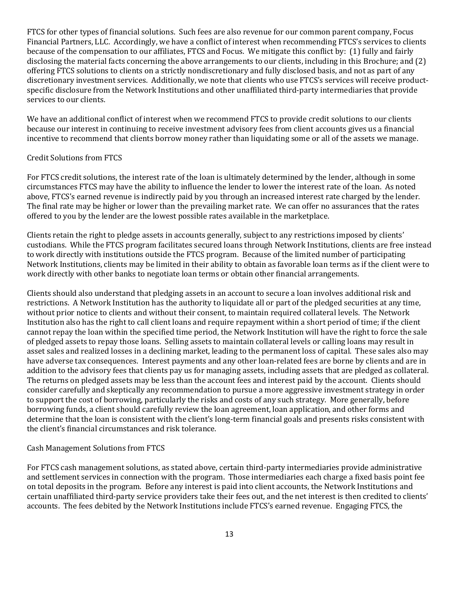FTCS for other types of financial solutions. Such fees are also revenue for our common parent company, Focus Financial Partners, LLC. Accordingly, we have a conflict of interest when recommending FTCS's services to clients because of the compensation to our affiliates, FTCS and Focus. We mitigate this conflict by: (1) fully and fairly disclosing the material facts concerning the above arrangements to our clients, including in this Brochure; and (2) offering FTCS solutions to clients on a strictly nondiscretionary and fully disclosed basis, and not as part of any discretionary investment services. Additionally, we note that clients who use FTCS's services will receive productspecific disclosure from the Network Institutions and other unaffiliated third-party intermediaries that provide services to our clients.

We have an additional conflict of interest when we recommend FTCS to provide credit solutions to our clients because our interest in continuing to receive investment advisory fees from client accounts gives us a financial incentive to recommend that clients borrow money rather than liquidating some or all of the assets we manage.

#### Credit Solutions from FTCS

For FTCS credit solutions, the interest rate of the loan is ultimately determined by the lender, although in some circumstances FTCS may have the ability to influence the lender to lower the interest rate of the loan. As noted above, FTCS's earned revenue is indirectly paid by you through an increased interest rate charged by the lender. The final rate may be higher or lower than the prevailing market rate. We can offer no assurances that the rates offered to you by the lender are the lowest possible rates available in the marketplace.

Clients retain the right to pledge assets in accounts generally, subject to any restrictions imposed by clients' custodians. While the FTCS program facilitates secured loans through Network Institutions, clients are free instead to work directly with institutions outside the FTCS program. Because of the limited number of participating Network Institutions, clients may be limited in their ability to obtain as favorable loan terms as if the client were to work directly with other banks to negotiate loan terms or obtain other financial arrangements.

Clients should also understand that pledging assets in an account to secure a loan involves additional risk and restrictions. A Network Institution has the authority to liquidate all or part of the pledged securities at any time, without prior notice to clients and without their consent, to maintain required collateral levels. The Network Institution also has the right to call client loans and require repayment within a short period of time; if the client cannot repay the loan within the specified time period, the Network Institution will have the right to force the sale of pledged assets to repay those loans. Selling assets to maintain collateral levels or calling loans may result in asset sales and realized losses in a declining market, leading to the permanent loss of capital. These sales also may have adverse tax consequences. Interest payments and any other loan-related fees are borne by clients and are in addition to the advisory fees that clients pay us for managing assets, including assets that are pledged as collateral. The returns on pledged assets may be less than the account fees and interest paid by the account. Clients should consider carefully and skeptically any recommendation to pursue a more aggressive investment strategy in order to support the cost of borrowing, particularly the risks and costs of any such strategy. More generally, before borrowing funds, a client should carefully review the loan agreement, loan application, and other forms and determine that the loan is consistent with the client's long-term financial goals and presents risks consistent with the client's financial circumstances and risk tolerance.

#### Cash Management Solutions from FTCS

For FTCS cash management solutions, as stated above, certain third-party intermediaries provide administrative and settlement services in connection with the program. Those intermediaries each charge a fixed basis point fee on total deposits in the program. Before any interest is paid into client accounts, the Network Institutions and certain unaffiliated third-party service providers take their fees out, and the net interest is then credited to clients' accounts. The fees debited by the Network Institutions include FTCS's earned revenue. Engaging FTCS, the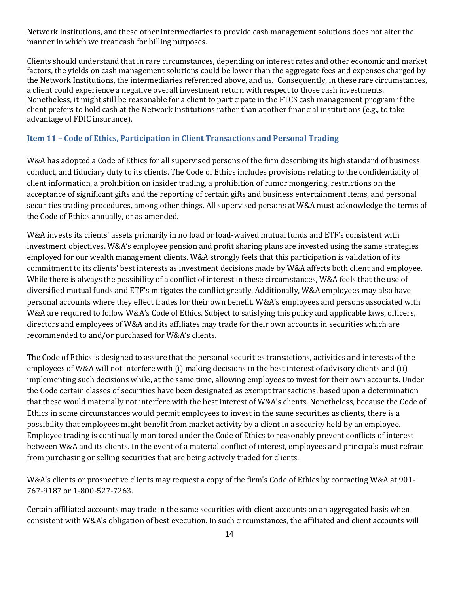Network Institutions, and these other intermediaries to provide cash management solutions does not alter the manner in which we treat cash for billing purposes.

Clients should understand that in rare circumstances, depending on interest rates and other economic and market factors, the yields on cash management solutions could be lower than the aggregate fees and expenses charged by the Network Institutions, the intermediaries referenced above, and us. Consequently, in these rare circumstances, a client could experience a negative overall investment return with respect to those cash investments. Nonetheless, it might still be reasonable for a client to participate in the FTCS cash management program if the client prefers to hold cash at the Network Institutions rather than at other financial institutions (e.g., to take advantage of FDIC insurance).

#### <span id="page-16-0"></span>**Item 11 – Code of Ethics, Participation in Client Transactions and Personal Trading**

W&A has adopted a Code of Ethics for all supervised persons of the firm describing its high standard of business conduct, and fiduciary duty to its clients. The Code of Ethics includes provisions relating to the confidentiality of client information, a prohibition on insider trading, a prohibition of rumor mongering, restrictions on the acceptance of significant gifts and the reporting of certain gifts and business entertainment items, and personal securities trading procedures, among other things. All supervised persons at W&A must acknowledge the terms of the Code of Ethics annually, or as amended.

W&A invests its clients' assets primarily in no load or load-waived mutual funds and ETF's consistent with investment objectives. W&A's employee pension and profit sharing plans are invested using the same strategies employed for our wealth management clients. W&A strongly feels that this participation is validation of its commitment to its clients' best interests as investment decisions made by W&A affects both client and employee. While there is always the possibility of a conflict of interest in these circumstances, W&A feels that the use of diversified mutual funds and ETF's mitigates the conflict greatly. Additionally, W&A employees may also have personal accounts where they effect trades for their own benefit. W&A's employees and persons associated with W&A are required to follow W&A's Code of Ethics. Subject to satisfying this policy and applicable laws, officers, directors and employees of W&A and its affiliates may trade for their own accounts in securities which are recommended to and/or purchased for W&A's clients.

The Code of Ethics is designed to assure that the personal securities transactions, activities and interests of the employees of W&A will not interfere with (i) making decisions in the best interest of advisory clients and (ii) implementing such decisions while, at the same time, allowing employees to invest for their own accounts. Under the Code certain classes of securities have been designated as exempt transactions, based upon a determination that these would materially not interfere with the best interest of W&A's clients. Nonetheless, because the Code of Ethics in some circumstances would permit employees to invest in the same securities as clients, there is a possibility that employees might benefit from market activity by a client in a security held by an employee. Employee trading is continually monitored under the Code of Ethics to reasonably prevent conflicts of interest between W&A and its clients. In the event of a material conflict of interest, employees and principals must refrain from purchasing or selling securities that are being actively traded for clients.

W&A's clients or prospective clients may request a copy of the firm's Code of Ethics by contacting W&A at 901- 767-9187 or 1-800-527-7263.

Certain affiliated accounts may trade in the same securities with client accounts on an aggregated basis when consistent with W&A's obligation of best execution. In such circumstances, the affiliated and client accounts will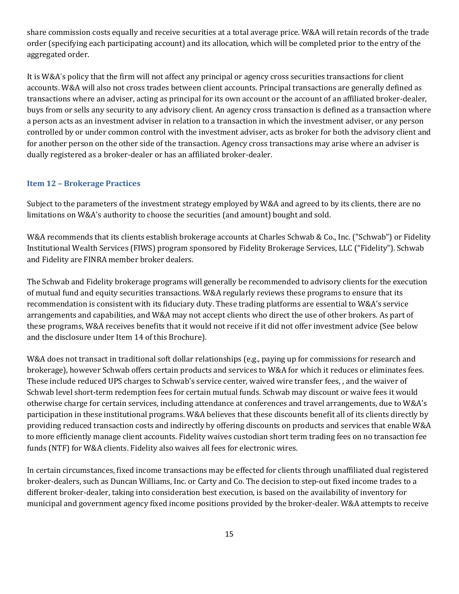share commission costs equally and receive securities at a total average price. W&A will retain records of the trade order (specifying each participating account) and its allocation, which will be completed prior to the entry of the aggregated order.

It is W&A's policy that the firm will not affect any principal or agency cross securities transactions for client accounts. W&A will also not cross trades between client accounts. Principal transactions are generally defined as transactions where an adviser, acting as principal for its own account or the account of an affiliated broker-dealer, buys from or sells any security to any advisory client. An agency cross transaction is defined as a transaction where a person acts as an investment adviser in relation to a transaction in which the investment adviser, or any person controlled by or under common control with the investment adviser, acts as broker for both the advisory client and for another person on the other side of the transaction. Agency cross transactions may arise where an adviser is dually registered as a broker-dealer or has an affiliated broker-dealer.

### <span id="page-17-0"></span>**Item 12 – Brokerage Practices**

Subject to the parameters of the investment strategy employed by W&A and agreed to by its clients, there are no limitations on W&A's authority to choose the securities (and amount) bought and sold.

W&A recommends that its clients establish brokerage accounts at Charles Schwab & Co., Inc. ("Schwab") or Fidelity Institutional Wealth Services (FIWS) program sponsored by Fidelity Brokerage Services, LLC ("Fidelity"). Schwab and Fidelity are FINRA member broker dealers.

The Schwab and Fidelity brokerage programs will generally be recommended to advisory clients for the execution of mutual fund and equity securities transactions. W&A regularly reviews these programs to ensure that its recommendation is consistent with its fiduciary duty. These trading platforms are essential to W&A's service arrangements and capabilities, and W&A may not accept clients who direct the use of other brokers. As part of these programs, W&A receives benefits that it would not receive if it did not offer investment advice (See below and the disclosure under Item 14 of this Brochure).

W&A does not transact in traditional soft dollar relationships (e.g., paying up for commissions for research and brokerage), however Schwab offers certain products and services to W&A for which it reduces or eliminates fees. These include reduced UPS charges to Schwab's service center, waived wire transfer fees, , and the waiver of Schwab level short-term redemption fees for certain mutual funds. Schwab may discount or waive fees it would otherwise charge for certain services, including attendance at conferences and travel arrangements, due to W&A's participation in these institutional programs. W&A believes that these discounts benefit all of its clients directly by providing reduced transaction costs and indirectly by offering discounts on products and services that enable W&A to more efficiently manage client accounts. Fidelity waives custodian short term trading fees on no transaction fee funds (NTF) for W&A clients. Fidelity also waives all fees for electronic wires.

In certain circumstances, fixed income transactions may be effected for clients through unaffiliated dual registered broker-dealers, such as Duncan Williams, Inc. or Carty and Co. The decision to step-out fixed income trades to a different broker-dealer, taking into consideration best execution, is based on the availability of inventory for municipal and government agency fixed income positions provided by the broker-dealer. W&A attempts to receive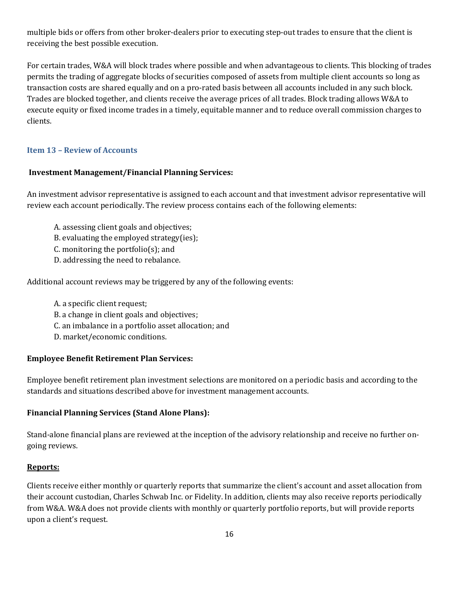multiple bids or offers from other broker-dealers prior to executing step-out trades to ensure that the client is receiving the best possible execution.

For certain trades, W&A will block trades where possible and when advantageous to clients. This blocking of trades permits the trading of aggregate blocks of securities composed of assets from multiple client accounts so long as transaction costs are shared equally and on a pro-rated basis between all accounts included in any such block. Trades are blocked together, and clients receive the average prices of all trades. Block trading allows W&A to execute equity or fixed income trades in a timely, equitable manner and to reduce overall commission charges to clients.

# <span id="page-18-0"></span>**Item 13 – Review of Accounts**

# **Investment Management/Financial Planning Services:**

An investment advisor representative is assigned to each account and that investment advisor representative will review each account periodically. The review process contains each of the following elements:

A. assessing client goals and objectives;

B. evaluating the employed strategy(ies);

C. monitoring the portfolio(s); and

D. addressing the need to rebalance.

Additional account reviews may be triggered by any of the following events:

A. a specific client request; B. a change in client goals and objectives; C. an imbalance in a portfolio asset allocation; and D. market/economic conditions.

# **Employee Benefit Retirement Plan Services:**

Employee benefit retirement plan investment selections are monitored on a periodic basis and according to the standards and situations described above for investment management accounts.

# **Financial Planning Services (Stand Alone Plans):**

Stand-alone financial plans are reviewed at the inception of the advisory relationship and receive no further ongoing reviews.

#### **Reports:**

Clients receive either monthly or quarterly reports that summarize the client's account and asset allocation from their account custodian, Charles Schwab Inc. or Fidelity. In addition, clients may also receive reports periodically from W&A. W&A does not provide clients with monthly or quarterly portfolio reports, but will provide reports upon a client's request.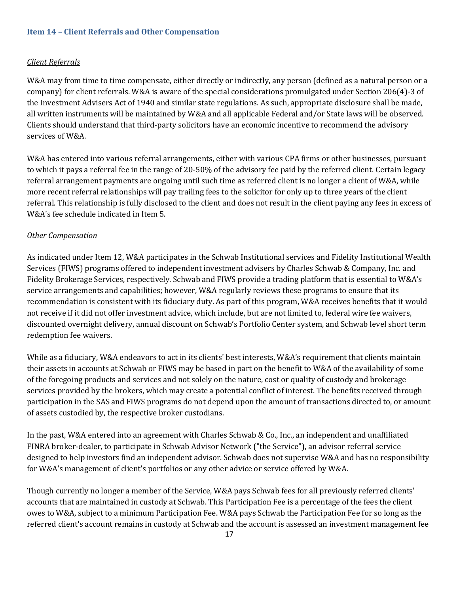#### <span id="page-19-0"></span>**Item 14 – Client Referrals and Other Compensation**

### *Client Referrals*

W&A may from time to time compensate, either directly or indirectly, any person (defined as a natural person or a company) for client referrals. W&A is aware of the special considerations promulgated under Section 206(4)-3 of the Investment Advisers Act of 1940 and similar state regulations. As such, appropriate disclosure shall be made, all written instruments will be maintained by W&A and all applicable Federal and/or State laws will be observed. Clients should understand that third-party solicitors have an economic incentive to recommend the advisory services of W&A.

W&A has entered into various referral arrangements, either with various CPA firms or other businesses, pursuant to which it pays a referral fee in the range of 20-50% of the advisory fee paid by the referred client. Certain legacy referral arrangement payments are ongoing until such time as referred client is no longer a client of W&A, while more recent referral relationships will pay trailing fees to the solicitor for only up to three years of the client referral. This relationship is fully disclosed to the client and does not result in the client paying any fees in excess of W&A's fee schedule indicated in Item 5.

#### *Other Compensation*

As indicated under Item 12, W&A participates in the Schwab Institutional services and Fidelity Institutional Wealth Services (FIWS) programs offered to independent investment advisers by Charles Schwab & Company, Inc. and Fidelity Brokerage Services, respectively. Schwab and FIWS provide a trading platform that is essential to W&A's service arrangements and capabilities; however, W&A regularly reviews these programs to ensure that its recommendation is consistent with its fiduciary duty. As part of this program, W&A receives benefits that it would not receive if it did not offer investment advice, which include, but are not limited to, federal wire fee waivers, discounted overnight delivery, annual discount on Schwab's Portfolio Center system, and Schwab level short term redemption fee waivers.

While as a fiduciary, W&A endeavors to act in its clients' best interests, W&A's requirement that clients maintain their assets in accounts at Schwab or FIWS may be based in part on the benefit to W&A of the availability of some of the foregoing products and services and not solely on the nature, cost or quality of custody and brokerage services provided by the brokers, which may create a potential conflict of interest. The benefits received through participation in the SAS and FIWS programs do not depend upon the amount of transactions directed to, or amount of assets custodied by, the respective broker custodians.

In the past, W&A entered into an agreement with Charles Schwab & Co., Inc., an independent and unaffiliated FINRA broker-dealer, to participate in Schwab Advisor Network ("the Service"), an advisor referral service designed to help investors find an independent advisor. Schwab does not supervise W&A and has no responsibility for W&A's management of client's portfolios or any other advice or service offered by W&A.

Though currently no longer a member of the Service, W&A pays Schwab fees for all previously referred clients' accounts that are maintained in custody at Schwab. This Participation Fee is a percentage of the fees the client owes to W&A, subject to a minimum Participation Fee. W&A pays Schwab the Participation Fee for so long as the referred client's account remains in custody at Schwab and the account is assessed an investment management fee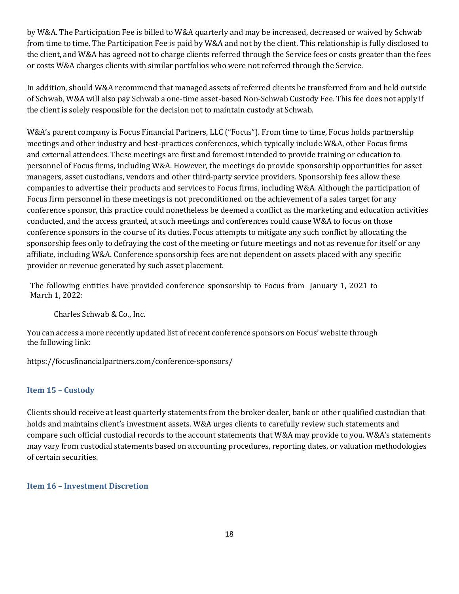by W&A. The Participation Fee is billed to W&A quarterly and may be increased, decreased or waived by Schwab from time to time. The Participation Fee is paid by W&A and not by the client. This relationship is fully disclosed to the client, and W&A has agreed not to charge clients referred through the Service fees or costs greater than the fees or costs W&A charges clients with similar portfolios who were not referred through the Service.

In addition, should W&A recommend that managed assets of referred clients be transferred from and held outside of Schwab, W&A will also pay Schwab a one-time asset-based Non-Schwab Custody Fee. This fee does not apply if the client is solely responsible for the decision not to maintain custody at Schwab.

W&A's parent company is Focus Financial Partners, LLC ("Focus"). From time to time, Focus holds partnership meetings and other industry and best-practices conferences, which typically include W&A, other Focus firms and external attendees. These meetings are first and foremost intended to provide training or education to personnel of Focus firms, including W&A. However, the meetings do provide sponsorship opportunities for asset managers, asset custodians, vendors and other third-party service providers. Sponsorship fees allow these companies to advertise their products and services to Focus firms, including W&A. Although the participation of Focus firm personnel in these meetings is not preconditioned on the achievement of a sales target for any conference sponsor, this practice could nonetheless be deemed a conflict as the marketing and education activities conducted, and the access granted, at such meetings and conferences could cause W&A to focus on those conference sponsors in the course of its duties. Focus attempts to mitigate any such conflict by allocating the sponsorship fees only to defraying the cost of the meeting or future meetings and not as revenue for itself or any affiliate, including W&A. Conference sponsorship fees are not dependent on assets placed with any specific provider or revenue generated by such asset placement.

The following entities have provided conference sponsorship to Focus from January 1, 2021 to March 1, 2022:

Charles Schwab & Co., Inc.

You can access a more recently updated list of recent conference sponsors on Focus' website through the following link:

https://focusfinancialpartners.com/conference-sponsors/

# <span id="page-20-0"></span>**Item 15 – Custody**

Clients should receive at least quarterly statements from the broker dealer, bank or other qualified custodian that holds and maintains client's investment assets. W&A urges clients to carefully review such statements and compare such official custodial records to the account statements that W&A may provide to you. W&A's statements may vary from custodial statements based on accounting procedures, reporting dates, or valuation methodologies of certain securities.

<span id="page-20-1"></span>**Item 16 – Investment Discretion**